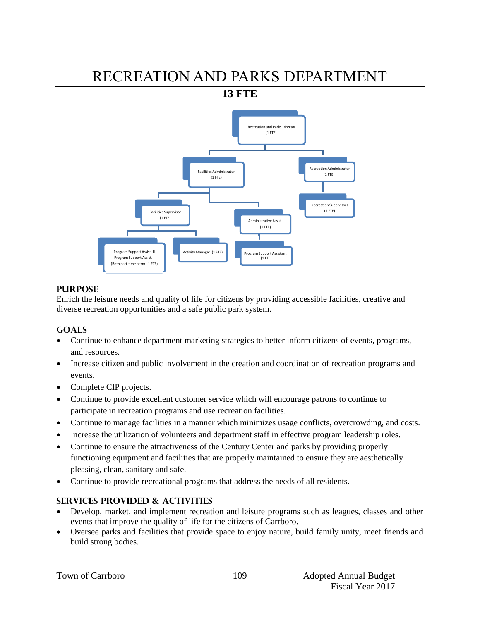# RECREATION AND PARKS DEPARTMENT

**13 FTE** 



## **PURPOSE**

Enrich the leisure needs and quality of life for citizens by providing accessible facilities, creative and diverse recreation opportunities and a safe public park system.

# **GOALS**

- Continue to enhance department marketing strategies to better inform citizens of events, programs, and resources.
- Increase citizen and public involvement in the creation and coordination of recreation programs and events.
- Complete CIP projects.
- Continue to provide excellent customer service which will encourage patrons to continue to participate in recreation programs and use recreation facilities.
- Continue to manage facilities in a manner which minimizes usage conflicts, overcrowding, and costs.
- Increase the utilization of volunteers and department staff in effective program leadership roles.
- Continue to ensure the attractiveness of the Century Center and parks by providing properly functioning equipment and facilities that are properly maintained to ensure they are aesthetically pleasing, clean, sanitary and safe.
- Continue to provide recreational programs that address the needs of all residents.

# **SERVICES PROVIDED & ACTIVITIES**

- Develop, market, and implement recreation and leisure programs such as leagues, classes and other events that improve the quality of life for the citizens of Carrboro.
- Oversee parks and facilities that provide space to enjoy nature, build family unity, meet friends and build strong bodies.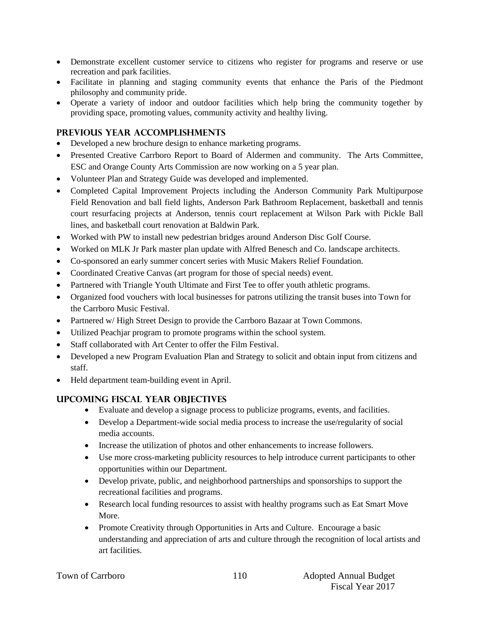- Demonstrate excellent customer service to citizens who register for programs and reserve or use recreation and park facilities.
- Facilitate in planning and staging community events that enhance the Paris of the Piedmont philosophy and community pride.
- Operate a variety of indoor and outdoor facilities which help bring the community together by providing space, promoting values, community activity and healthy living.

## **PREVIOUS YEAR ACCOMPLISHMENTS**

- Developed a new brochure design to enhance marketing programs.
- Presented Creative Carrboro Report to Board of Aldermen and community. The Arts Committee, ESC and Orange County Arts Commission are now working on a 5 year plan.
- Volunteer Plan and Strategy Guide was developed and implemented.
- Completed Capital Improvement Projects including the Anderson Community Park Multipurpose Field Renovation and ball field lights, Anderson Park Bathroom Replacement, basketball and tennis court resurfacing projects at Anderson, tennis court replacement at Wilson Park with Pickle Ball lines, and basketball court renovation at Baldwin Park.
- Worked with PW to install new pedestrian bridges around Anderson Disc Golf Course.
- Worked on MLK Jr Park master plan update with Alfred Benesch and Co. landscape architects.
- Co-sponsored an early summer concert series with Music Makers Relief Foundation.
- Coordinated Creative Canvas (art program for those of special needs) event.
- Partnered with Triangle Youth Ultimate and First Tee to offer youth athletic programs.
- Organized food vouchers with local businesses for patrons utilizing the transit buses into Town for the Carrboro Music Festival.
- Partnered w/ High Street Design to provide the Carrboro Bazaar at Town Commons.
- Utilized Peachjar program to promote programs within the school system.
- Staff collaborated with Art Center to offer the Film Festival.
- Developed a new Program Evaluation Plan and Strategy to solicit and obtain input from citizens and staff.
- Held department team-building event in April.

# **UPCOMING FISCAL YEAR OBJECTIVES**

- Evaluate and develop a signage process to publicize programs, events, and facilities.
- Develop a Department-wide social media process to increase the use/regularity of social media accounts.
- Increase the utilization of photos and other enhancements to increase followers.
- Use more cross-marketing publicity resources to help introduce current participants to other opportunities within our Department.
- Develop private, public, and neighborhood partnerships and sponsorships to support the recreational facilities and programs.
- Research local funding resources to assist with healthy programs such as Eat Smart Move More.
- Promote Creativity through Opportunities in Arts and Culture. Encourage a basic understanding and appreciation of arts and culture through the recognition of local artists and art facilities.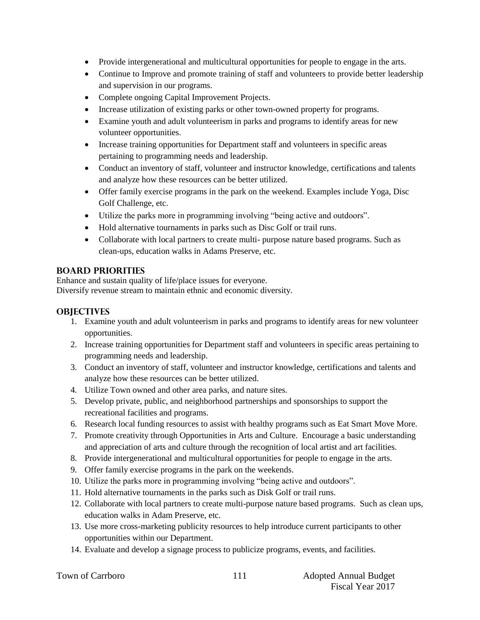- Provide intergenerational and multicultural opportunities for people to engage in the arts.
- Continue to Improve and promote training of staff and volunteers to provide better leadership and supervision in our programs.
- Complete ongoing Capital Improvement Projects.
- Increase utilization of existing parks or other town-owned property for programs.
- Examine youth and adult volunteerism in parks and programs to identify areas for new volunteer opportunities.
- Increase training opportunities for Department staff and volunteers in specific areas pertaining to programming needs and leadership.
- Conduct an inventory of staff, volunteer and instructor knowledge, certifications and talents and analyze how these resources can be better utilized.
- Offer family exercise programs in the park on the weekend. Examples include Yoga, Disc Golf Challenge, etc.
- Utilize the parks more in programming involving "being active and outdoors".
- Hold alternative tournaments in parks such as Disc Golf or trail runs.
- Collaborate with local partners to create multi- purpose nature based programs. Such as clean-ups, education walks in Adams Preserve, etc.

## **BOARD PRIORITIES**

Enhance and sustain quality of life/place issues for everyone. Diversify revenue stream to maintain ethnic and economic diversity.

# **OBJECTIVES**

- 1. Examine youth and adult volunteerism in parks and programs to identify areas for new volunteer opportunities.
- 2. Increase training opportunities for Department staff and volunteers in specific areas pertaining to programming needs and leadership.
- 3. Conduct an inventory of staff, volunteer and instructor knowledge, certifications and talents and analyze how these resources can be better utilized.
- 4. Utilize Town owned and other area parks, and nature sites.
- 5. Develop private, public, and neighborhood partnerships and sponsorships to support the recreational facilities and programs.
- 6. Research local funding resources to assist with healthy programs such as Eat Smart Move More.
- 7. Promote creativity through Opportunities in Arts and Culture. Encourage a basic understanding and appreciation of arts and culture through the recognition of local artist and art facilities.
- 8. Provide intergenerational and multicultural opportunities for people to engage in the arts.
- 9. Offer family exercise programs in the park on the weekends.
- 10. Utilize the parks more in programming involving "being active and outdoors".
- 11. Hold alternative tournaments in the parks such as Disk Golf or trail runs.
- 12. Collaborate with local partners to create multi-purpose nature based programs. Such as clean ups, education walks in Adam Preserve, etc.
- 13. Use more cross-marketing publicity resources to help introduce current participants to other opportunities within our Department.
- 14. Evaluate and develop a signage process to publicize programs, events, and facilities.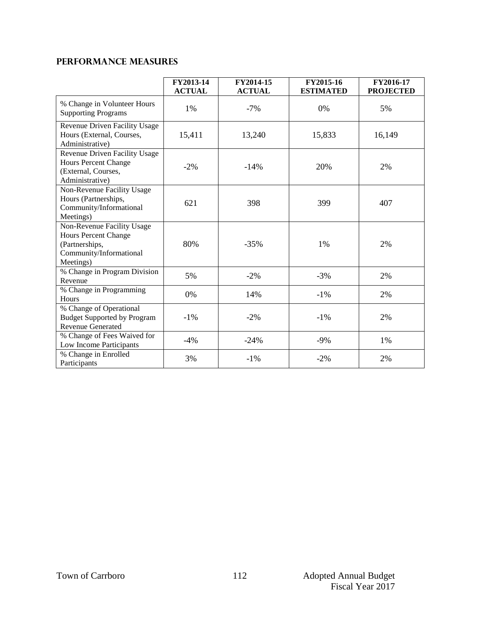# **Performance Measures**

|                                                                                                                     | FY2013-14<br><b>ACTUAL</b> | FY2014-15<br><b>ACTUAL</b> | FY2015-16<br><b>ESTIMATED</b> | FY2016-17<br><b>PROJECTED</b> |
|---------------------------------------------------------------------------------------------------------------------|----------------------------|----------------------------|-------------------------------|-------------------------------|
| % Change in Volunteer Hours<br><b>Supporting Programs</b>                                                           | $1\%$                      | $-7%$                      | 0%                            | 5%                            |
| Revenue Driven Facility Usage<br>Hours (External, Courses,<br>Administrative)                                       | 15,411                     | 13,240                     | 15,833                        | 16,149                        |
| Revenue Driven Facility Usage<br><b>Hours Percent Change</b><br>(External, Courses,<br>Administrative)              | $-2\%$                     | $-14%$                     | 20%                           | 2%                            |
| Non-Revenue Facility Usage<br>Hours (Partnerships,<br>Community/Informational<br>Meetings)                          | 621                        | 398                        | 399                           | 407                           |
| Non-Revenue Facility Usage<br><b>Hours Percent Change</b><br>(Partnerships,<br>Community/Informational<br>Meetings) | 80%                        | $-35%$                     | 1%                            | 2%                            |
| % Change in Program Division<br>Revenue                                                                             | 5%                         | $-2\%$                     | $-3%$                         | 2%                            |
| % Change in Programming<br>Hours                                                                                    | 0%                         | 14%                        | $-1%$                         | 2%                            |
| % Change of Operational<br><b>Budget Supported by Program</b><br><b>Revenue Generated</b>                           | $-1\%$                     | $-2%$                      | $-1\%$                        | 2%                            |
| % Change of Fees Waived for<br>Low Income Participants                                                              | $-4\%$                     | $-24%$                     | $-9%$                         | $1\%$                         |
| % Change in Enrolled<br>Participants                                                                                | 3%                         | $-1%$                      | $-2%$                         | 2%                            |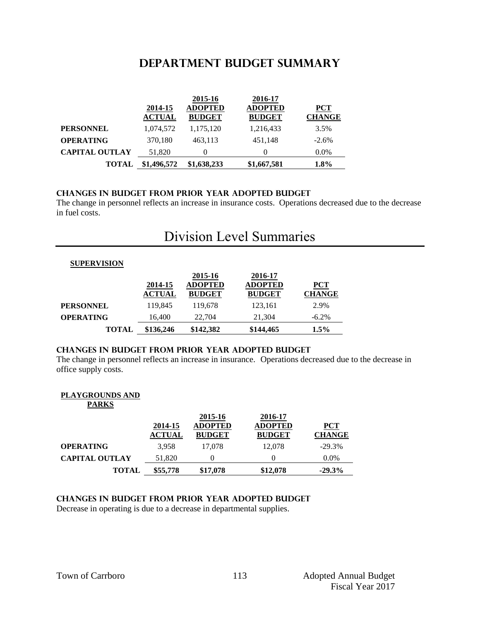# **DEPARTMENT BUDGET summary**

|                       | 2014-15                    | 2015-16<br><b>ADOPTED</b>  | 2016-17<br><b>ADOPTED</b>  | <b>PCT</b>            |
|-----------------------|----------------------------|----------------------------|----------------------------|-----------------------|
| <b>PERSONNEL</b>      | <b>ACTUAL</b><br>1,074,572 | <b>BUDGET</b><br>1,175,120 | <b>BUDGET</b><br>1,216,433 | <b>CHANGE</b><br>3.5% |
| <b>OPERATING</b>      | 370,180                    | 463,113                    | 451,148                    | $-2.6%$               |
| <b>CAPITAL OUTLAY</b> | 51,820                     | $\theta$                   | $\theta$                   | $0.0\%$               |
| <b>TOTAL</b>          | \$1,496,572                | \$1,638,233                | \$1,667,581                | $1.8\%$               |

### **CHANGES IN BUDGET from PRIOR YEAR ADOPTED BUDGET**

The change in personnel reflects an increase in insurance costs. Operations decreased due to the decrease in fuel costs.

# Division Level Summaries

| <b>SUPERVISION</b> |                          |                                            |                                            |                        |
|--------------------|--------------------------|--------------------------------------------|--------------------------------------------|------------------------|
|                    | 2014-15<br><b>ACTUAL</b> | 2015-16<br><b>ADOPTED</b><br><b>BUDGET</b> | 2016-17<br><b>ADOPTED</b><br><b>BUDGET</b> | $PCT$<br><b>CHANGE</b> |
| <b>PERSONNEL</b>   | 119.845                  | 119.678                                    | 123.161                                    | 2.9%                   |
| <b>OPERATING</b>   | 16.400                   | 22,704                                     | 21.304                                     | $-6.2\%$               |
| <b>TOTAL</b>       | \$136,246                | \$142,382                                  | \$144,465                                  | $1.5\%$                |

### **changes in budget from prior year adopted budget**

The change in personnel reflects an increase in insurance. Operations decreased due to the decrease in office supply costs.

#### **PLAYGROUNDS AND PARKS**

|                       | 2014-15<br><b>ACTUAL</b> | 2015-16<br><b>ADOPTED</b><br><b>BUDGET</b> | 2016-17<br><b>ADOPTED</b><br><b>BUDGET</b> | <b>PCT</b><br><b>CHANGE</b> |
|-----------------------|--------------------------|--------------------------------------------|--------------------------------------------|-----------------------------|
| <b>OPERATING</b>      | 3.958                    | 17,078                                     | 12,078                                     | $-29.3%$                    |
| <b>CAPITAL OUTLAY</b> | 51,820                   |                                            | $\theta$                                   | $0.0\%$                     |
| <b>TOTAL</b>          | \$55,778                 | \$17,078                                   | \$12,078                                   | $-29.3%$                    |

### **changes in budget from prior year adopted budget**

Decrease in operating is due to a decrease in departmental supplies.